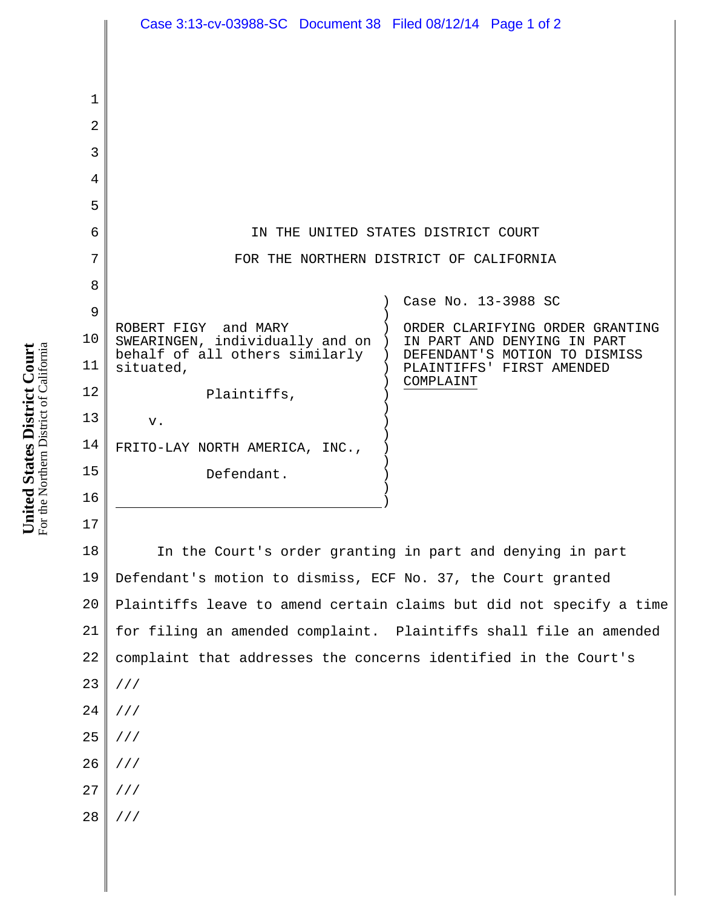|             | Case 3:13-cv-03988-SC Document 38 Filed 08/12/14 Page 1 of 2        |                                                              |
|-------------|---------------------------------------------------------------------|--------------------------------------------------------------|
|             |                                                                     |                                                              |
|             |                                                                     |                                                              |
| $\mathbf 1$ |                                                                     |                                                              |
| 2           |                                                                     |                                                              |
| 3           |                                                                     |                                                              |
| 4           |                                                                     |                                                              |
| 5           |                                                                     |                                                              |
| 6           | IN THE UNITED STATES DISTRICT COURT                                 |                                                              |
| 7           | FOR THE NORTHERN DISTRICT OF CALIFORNIA                             |                                                              |
| 8           |                                                                     | Case No. 13-3988 SC                                          |
| 9           | ROBERT FIGY and MARY                                                | ORDER CLARIFYING ORDER GRANTING                              |
| 10          | SWEARINGEN, individually and on )<br>behalf of all others similarly | IN PART AND DENYING IN PART<br>DEFENDANT'S MOTION TO DISMISS |
| 11          | situated,                                                           | PLAINTIFFS' FIRST AMENDED<br>COMPLAINT                       |
| 12          | Plaintiffs,                                                         |                                                              |
| 13          | v.                                                                  |                                                              |
| 14          | FRITO-LAY NORTH AMERICA, INC.,                                      |                                                              |
| 15          | Defendant.                                                          |                                                              |
| 16          |                                                                     |                                                              |
| 17          |                                                                     |                                                              |
| 18          | In the Court's order granting in part and denying in part           |                                                              |
| 19          | Defendant's motion to dismiss, ECF No. 37, the Court granted        |                                                              |
| 20          | Plaintiffs leave to amend certain claims but did not specify a time |                                                              |
| 21          | for filing an amended complaint. Plaintiffs shall file an amended   |                                                              |
| 22          | complaint that addresses the concerns identified in the Court's     |                                                              |
| 23          | 111                                                                 |                                                              |
| 24          | ///                                                                 |                                                              |
| 25          | ///                                                                 |                                                              |
| 26          | //                                                                  |                                                              |
| 27          | ///                                                                 |                                                              |
| 28          | ///                                                                 |                                                              |
|             |                                                                     |                                                              |
|             |                                                                     |                                                              |
|             |                                                                     |                                                              |

**United States District Court** For the Northern District of California